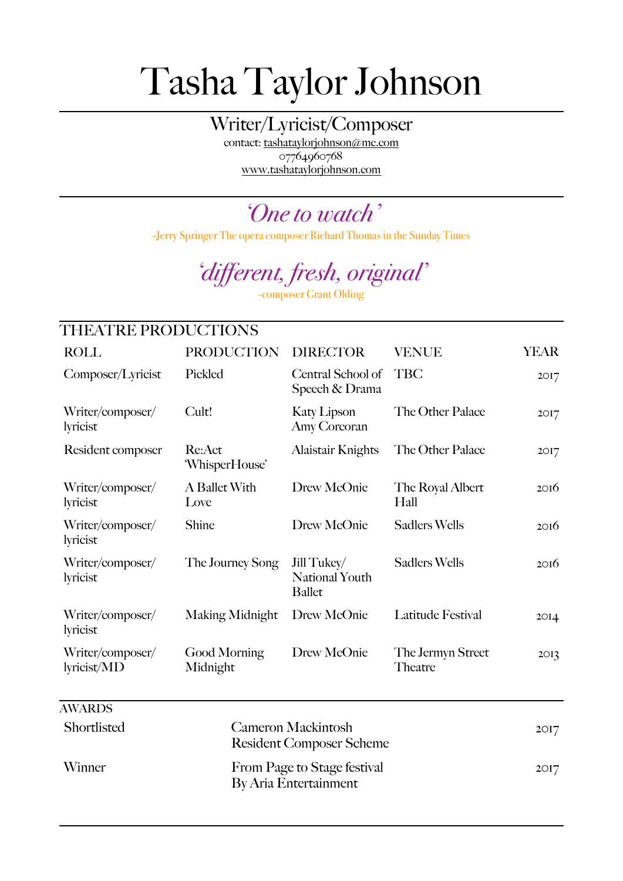## Tasha Taylor Johnson

Writer/Lyricist/Composer

contact: [tashataylorjohnson@me.com](mailto:tashataylorjohnson@me.com) 07764960768 [www.tashataylorjohnson.com](http://www.tashataylorjohnson.com)

*'One to watch'*

-Jerry Springer The opera composer Richard Thomas in the Sunday Times

## *'different, fresh, original'*

-composer Grant Olding

| THEATRE PRODUCTIONS                                            |                                                              |                                                       |                              |                  |  |
|----------------------------------------------------------------|--------------------------------------------------------------|-------------------------------------------------------|------------------------------|------------------|--|
| <b>ROLL</b>                                                    | <b>PRODUCTION</b>                                            | <b>DIRECTOR</b>                                       | <b>VENUE</b>                 | <b>YEAR</b>      |  |
| Composer/Lyricist                                              | Pickled                                                      | Central School of<br>Speech & Drama                   | <b>TBC</b>                   | 2017             |  |
| Writer/composer/<br>lyricist                                   | Cult!                                                        | <b>Katy Lipson</b><br>Amy Corcoran                    | The Other Palace             | 20I7             |  |
| Resident composer                                              | Re:Act<br>'WhisperHouse'                                     | <b>Alaistair Knights</b>                              | The Other Palace             | 20I7             |  |
| Writer/composer/<br>lyricist                                   | A Ballet With<br>Love                                        | Drew McOnie                                           | The Royal Albert<br>Hall     | 20I6             |  |
| Writer/composer/<br>lyricist                                   | Shine                                                        | Drew McOnie                                           | <b>Sadlers Wells</b>         | 20I6             |  |
| Writer/composer/<br>lyricist                                   | The Journey Song                                             | Jill Tukey/<br><b>National Youth</b><br><b>Ballet</b> | <b>Sadlers Wells</b>         | 2016             |  |
| Writer/composer/<br>lyricist                                   | Making Midnight                                              | Drew McOnie                                           | Latitude Festival            | 20I <sub>4</sub> |  |
| Writer/composer/<br>lyricist/MD                                | Good Morning<br>Midnight                                     | Drew McOnie                                           | The Jermyn Street<br>Theatre | 2O <sub>13</sub> |  |
| <b>AWARDS</b>                                                  |                                                              |                                                       |                              |                  |  |
| Shortlisted                                                    | <b>Cameron Mackintosh</b><br><b>Resident Composer Scheme</b> |                                                       |                              |                  |  |
| Winner<br>From Page to Stage festival<br>By Aria Entertainment |                                                              |                                                       |                              |                  |  |